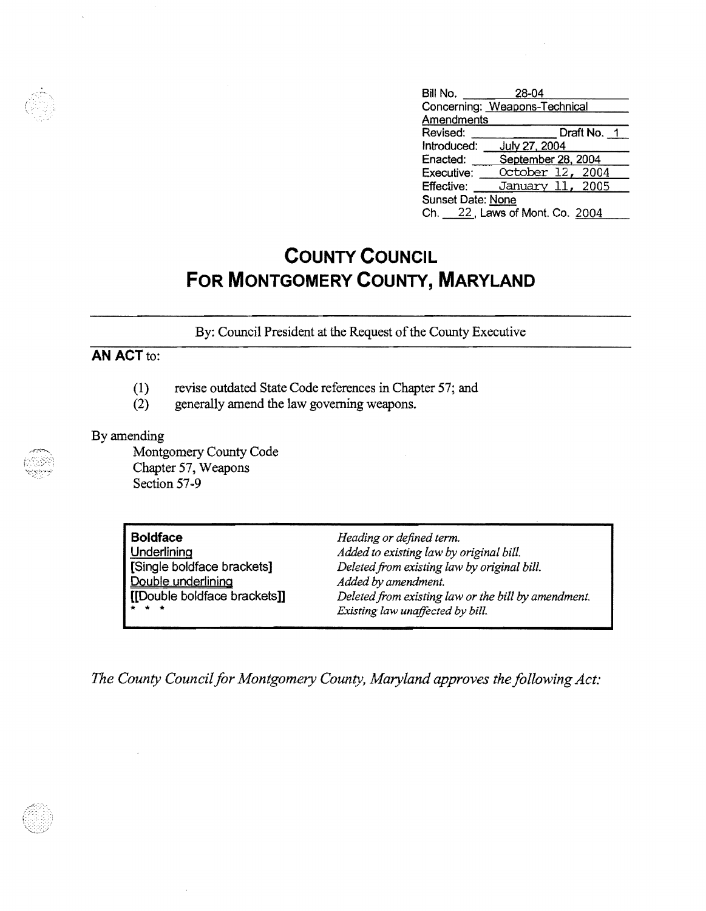| Bill No.                       | 28-04              |  |
|--------------------------------|--------------------|--|
| Concerning: Weapons-Technical  |                    |  |
| Amendments                     |                    |  |
| Revised:                       | Draft No. 1        |  |
| Introduced:                    | July 27, 2004      |  |
| Enacted:                       | September 28, 2004 |  |
| Executive:                     | October 12, 2004   |  |
| Effective:                     | January 11, 2005   |  |
| Sunset Date: None              |                    |  |
| Ch. 22, Laws of Mont. Co. 2004 |                    |  |

## **COUNTY COUNCIL FOR MONTGOMERY COUNTY, MARYLAND**

By: Council President at the Request of the County Executive

## **AN ACT** to:

- (1) revise outdated State Code references in Chapter 57; and
- (2) generally amend the law governing weapons.

## By amending

Montgomery County Code Chapter 57, Weapons Section 57-9

| <b>Boldface</b>              | Heading or defined term.                            |
|------------------------------|-----------------------------------------------------|
| Underlining                  | Added to existing law by original bill.             |
| [Single boldface brackets]   | Deleted from existing law by original bill.         |
| Double underlining           | Added by amendment.                                 |
| [[Double boldface brackets]] | Deleted from existing law or the bill by amendment. |
| * * *                        | Existing law unaffected by bill.                    |

The County Council for Montgomery County, Maryland approves the following Act:



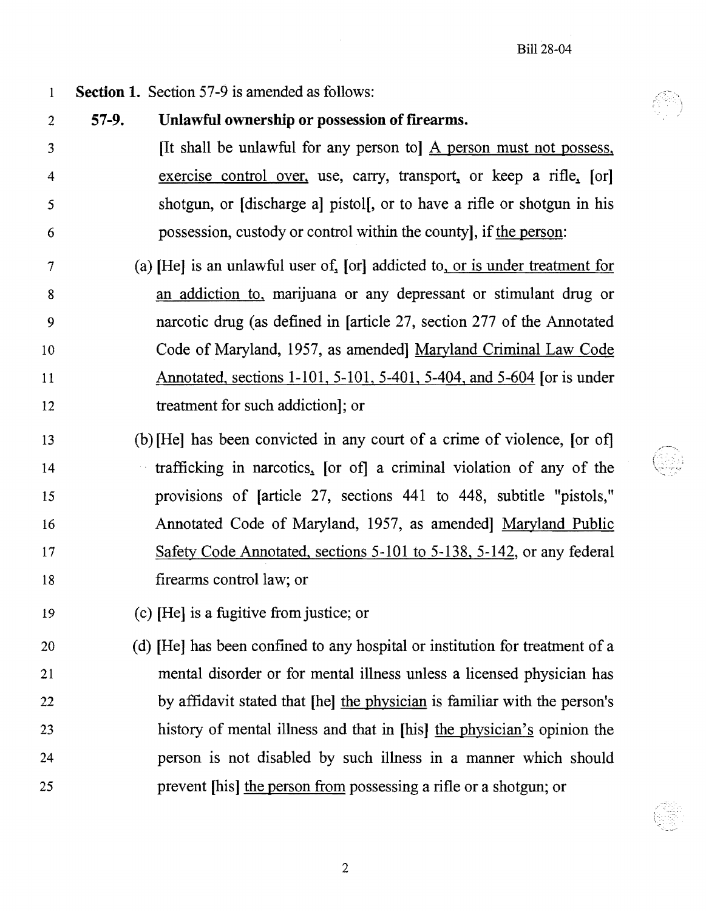- 1 Section 1. Section 57-9 is amended as follows:
- 2 3 4 5 6 57-9. Unlawful ownership or possession of fIrearms. [It shall be unlawful for any person to] A person must not possess, exercise control over, use, carry, transport, or keep a rifle, [or] shotgun, or [discharge a] pistol[, or to have a rifle or shotgun in his possession, custody or control within the county], if the person:
- 7 8 9 10 11 12 (a)  $[He]$  is an unlawful user of,  $[or]$  addicted to, or is under treatment for an addiction to, marijuana or any depressant or stimulant drug or narcotic drug (as defined in [article 27, section 277 of the Annotated Code of Maryland, 1957, as amended] Maryland Criminal Law Code Annotated, sections 1-101, 5-101, 5-401, 5-404, and 5-604 [or is under treatment for such addiction]; or
- 13 14 15 16 17 18 (b)[He] has been convicted in any court of a crime of violence, [or of] trafficking in narcotics, [or of] a criminal violation of any of the provisions of [article 27, sections 441 to 448, subtitle "pistols," Annotated Code of Maryland, 1957, as amended] Maryland Public Safety Code Annotated, sections 5-101 to 5-138, 5-142, or any federal firearms control law; or
- 19 (c) [He] is a fugitive from justice; or
- 20 21 22 23 24 25 (d) [He] has been confined to any hospital or institution for treatment of a mental disorder or for mental illness unless a licensed physician has by affidavit stated that [he] the physician is familiar with the person's history of mental illness and that in [his] the physician's opinion the person is not disabled by such illness in a manner which should prevent [his] the person from possessing a rifle or a shotgun; or